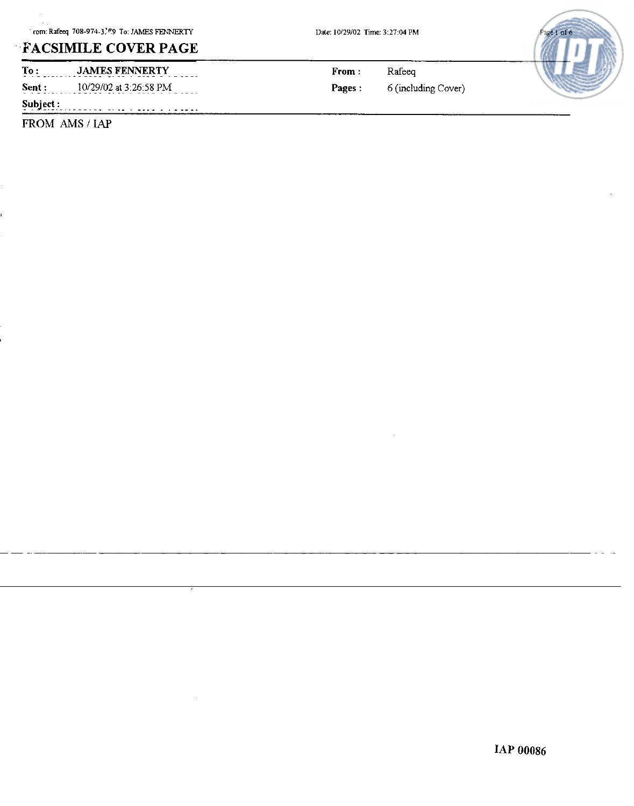# **,FACSIMILE COVER PAGE**

 $\overline{\text{To}:}$  **JAMES FENNERTY Sent :**  $10/29/02$  at  $3:26:58$  PM  $\qquad \qquad$  **Pages :** 6 (including Cover)

**Subject** : . ~ -.-.. -~.. .... .

FROM AMS / IAP

**From** : Rafeeq

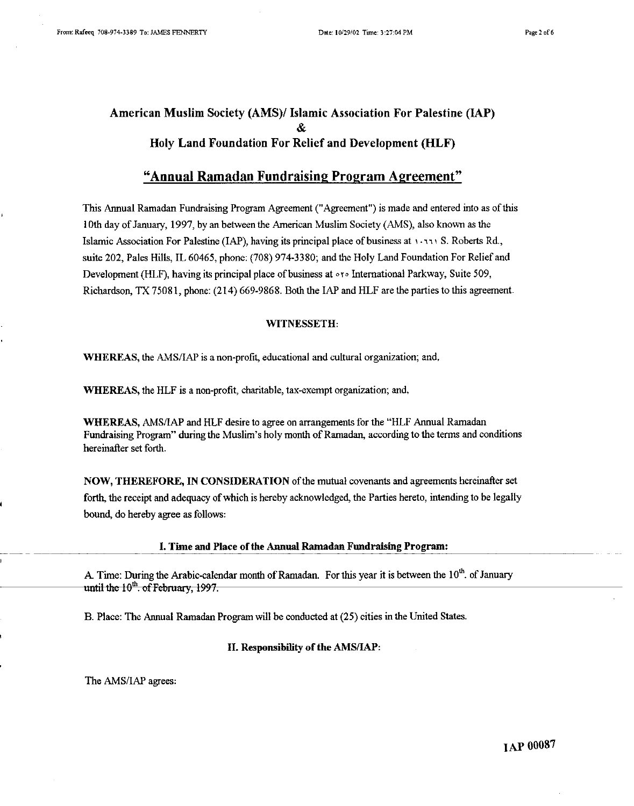# **American Muslim Society (AMS)I Islamic Association For Palestine** (IAP) & **Holy Land Foundation For Relief and Development (HLF)**

# **"Annual Ramadan Fundraising Program Agreement"**

This Annual Ramadan Fundraising Program Agreement ("Agreement") is made and entered into as ofthis **10th** day of January, 1997, by an between the American Muslim Society (AMS), also known as the Islamic Association For Palestine (IAP), having its principal place of business at 1 **.Y> I** S. Roberts Rd., suite 202, Pales Hills, IL 60465, phone: (708) 974-3380; and the Holy Land Foundation For Relief and Development (HLF), having its principal place of business at **or.** International Parkway, Suite 509, Richardson **TX** 75081, phone: (214) 669-9868. Both the IAP and HLF are the parties to this agreement.

#### WITNESSETH:

WHEREAS, the AMS/IAP is a non-profit, educational and cultural organization; and,

WHEREAS, the HLF is a non-profit, charitable, tax-exempt organization; and,

WHEREAS, AMS/IAP and HLF desire to agree on arrangements for the "HLF Annual Ramadan Fundraising Program" during the Muslim's holy month of Ramadan, according to the terms and conditions hereinafter set forth.

NOW, THEREFORE, IN CONSIDERATION of the mutual covenants and agreements hereinafter set forth, the receipt and adequacy of which is hereby acknowledged, the Parties hereto, intending to be legally bound, do hereby agree as follows: NOW, THEREFORE, IN CONSID.<br>
forth, the receipt and adequacy of which<br>
bound, do hereby agree as follows:<br>
I. Time and Place of<br>
A Time: During the Arabic-calendar to

I. Time and Place of the **Annual** Ramadan **Fundraising** Program:

A. Time: During the Arabic-calendar month of Ramadan. For this year it is between the  $10^{th}$ . of January until the  $10^{th}$ . of February, 1997.

B. Place: The Annual Ramadan Program will be conducted at (25) cities in the United States.

### 11. Responsibility of the AMS/IAP:

The AMS/IAP agrees:

**IAP 00087**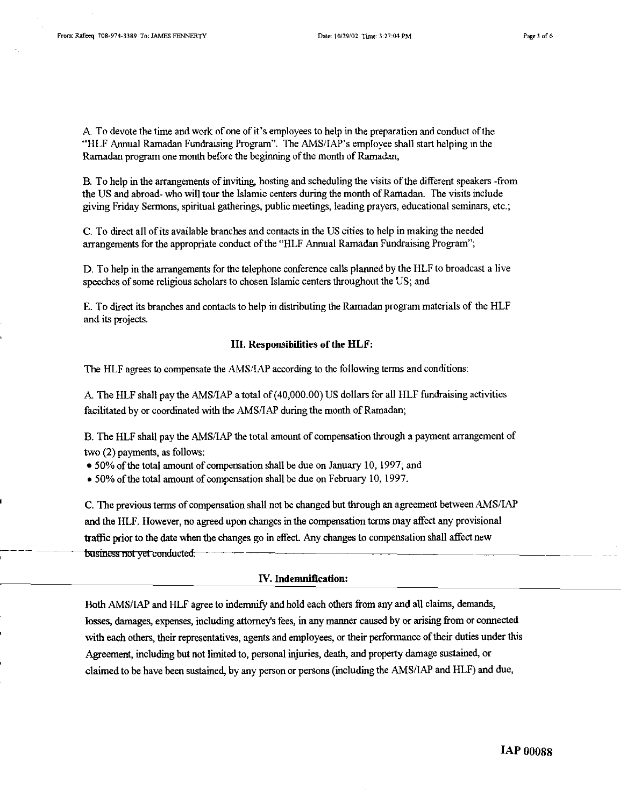A To devote the time and work of one of it's employees to help in the preparation and conduct of the "HLF Annual Ramadan Fundraising Program". The **AMSIIAP's** employee shall **start** helping **in** the Ramadan program one month before the beginning of the month of Ramadan;

**B.** To help in the arrangements of inviting, hosting and scheduling the visits of the different speakers -from the **US** and abroad- who will tour the Islamic centers during the month of Ramadan. The visits include giving Friday Sermons, spiritual gatherings, public meetings, leading prayers, educational seminars, etc.;

C. To direct all of its available branches and contacts in the **US** cities to help in making the needed arrangements for the appropriate conduct of the "HLF Annual Ramadan Fundraising Program";

D. To help in the arrangements for the telephone conference calls planned by the HLF to broadcast a live speeches of some religious scholars to chosen Islamic centers throughout the **US;** and

E. To direct its branches and contacts to help in distributing the Ramadan program materials of the HLF and its projects.

#### **111.** Responsibities of the HLF:

The HLF agrees to compensate the AMS/IAP according to the following terms and conditions:

**k** The HLF shall pay the **AMSiIAP** a total of (40,000.00) **US** dollars for all HLF fundraising activities facilitated by or coordinated with the **AMSIIAP** during the month of Ramadan;

B. The HLF shall pay the **AMSIIAP** the total amount of compensation through a payment arrangement of two **(2)** payments, **as** follows:

• 50% of the total amount of compensation shall be due on January 10, 1997; and

**0** 50% of the total amount of compensation shall be due on February 10,1997.

<sup>I</sup>C. The previous terms of compensation shall not be changed but through an agreement between **AMSIIAP**  ed upon changes in the compensation<br>e changes go in effect. Any changes and the HLF. However, no agreed upon changes in the compensation **terms** may affect any provisional traffic prior to the date when the changes go in effect. Any changes to compensation shall affect new business not yet conducted.

#### N. Indemnification:

Both **AMSIIAP** and HLF agree to indemnify and hold each others from any and all claims, **demands,**  losses, damages, expenses, including attorney's fees, in any manner caused by or arising from or connected with each others, their representatives, agents and employees, or their performance of their duties under this Agreement, including but not limited to, personal injuries, death, and property damage sustained, or claimed to be have been sustained, by any person or persons (including the AMS/IAP and HLF) and due,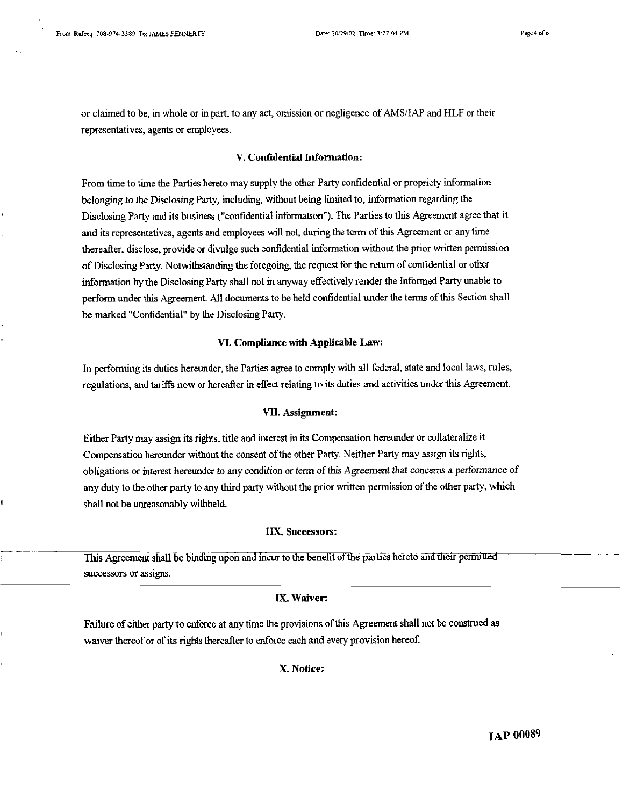$\frac{1}{1}$ 

Page 4 of 6

or claimed to be, in whole or in part, to any act, omission or negligence of AMSIIAP and HLF or their representatives, agents or employees.

# V. Confidential Information:

From time to time the Parties hereto may supply the other Party confidential or propriety information belonging to the Disclosing Party, including, without being limited to, information regarding the Disclosing Party and its business ("confidential information"). The Parties to this Agreement agree that it and its representatives, agents and employees will not, during the term of this Agreement or any time thereafter, disclose, provide or divulge such confidential information without the prior written permission of Disclosing Party. Notwithstanding the foregoing, the request for the return of confidential or other information by the Disclosing Party shall not in anyway effectively render the Informed Party unable to perform under this Agreement. All documents to be held confidential under the terms of this Section shall be marked "Confidential" by the Disclosing Party.

#### **VI.** Compliance with Applicable Law:

In performing its duties hereunder, the Parties agree to comply with all federal, state and local laws, rules, regulations, and tariffs now or hereafter in effect relating to its duties and activities under this Agreement.

#### **VII.** Assignment:

Either Party may assign its rights, title and interest in its Compensation hereunder or collateralize it Compensation hereunder without the consent of the other Party. Neither Party may assign its rights, obligations or interest hereunder to any condition or term of this Agreement that concerns a performance of any duty to the other party to any third party without the prior written permission ofthe other party, which shall not be unreasonably withheld.

# IIX. Successors:

This Agreement shall be binding upon and incur to the benefit of the parties hereto and their permitted successors **or** assigns.

### **IX.** Waiver:

Failure of either party to enforce at any time the provisions ofthis Agreement shall not be construed as waiver thereof or of its rights thereafter to enforce each and every provision hereof.

X. Notice: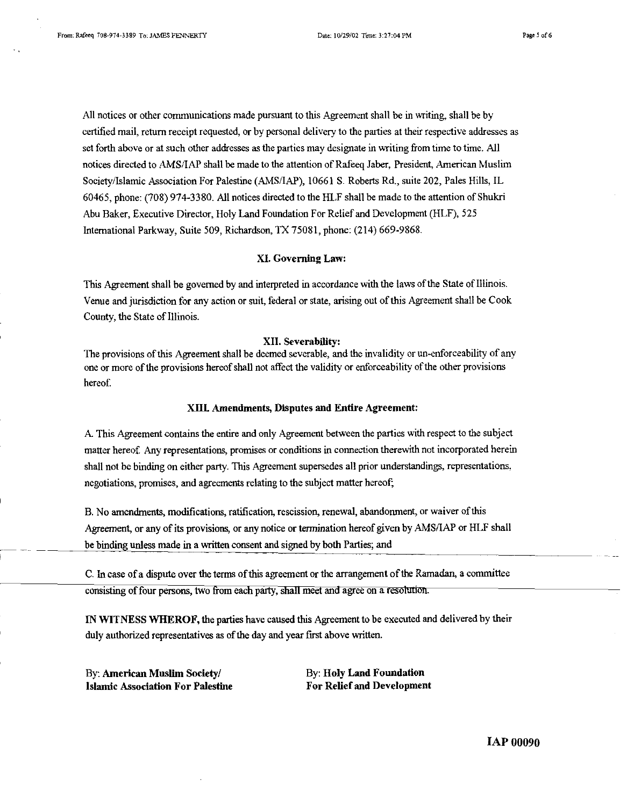All notices or other communications made pursuant to this Agreement shall be in writing, shall be by certified mail, return receipt requested, or by personal delivery to the parties at their respective addresses as set forth above or at such other addresses as the parties may designate in writing from time to time. All notices directed to AMS/IAP shall be made to the attention of Rafeeq Jaber, President, American Muslim Society/Islamic Association For Palestine (AMS/IAP), 10661 S. Roberts Rd., suite 202, Pales Hills, IL **60465,** phone: **(708) 974-3380.** All notices directed to the HLF shall be made to the attention of Shukri Abu Baker, Executive Director, Holy Land Foundation For Relief and Development (HLF), **525**  International Parkway, Suite **509,** Richardson, TX **75081,** phone: **(214) 669-9868.** 

### XI. Governing Law:

**This** Agreement shall be governed by and interpreted in accordance with the laws of the Statz of Illinois. Venue and jurisdiction for any action or suit, federal or state, arising out of this Agreement shall be Cook County, the State of Illinois.

#### XII. Severability:

The provisions of this Agreement shall be deemed severable, and the invalidity or un-enforceability of any one or more of the provisions hereof shall not affect the validity or enforceability of the other provisions hereof.

#### XUL Amendments, Dfsputes and Entire Agreement:

A This Agreement contains the entire and only Agreement between the parties with respect to the subject matter hereof. Any representations, promises or conditions in connection therewith not incorporated herein shall not be biding on either party. This Agreement supersedes all prior understandings, representations, negotiations, promises, and agreements relating to the subject matter hereof;

B. No amendments, modifications, ratification, rescission, renewal, abandonment, or waiver of this Agreement, or any of its provisions, or any notice or termination hereof given by AMSAAP **or** HLF shall Agreement, or any of its provisions, or any notice or termination hereof given by AMS/IAP or HLF shall<br>
I be binding unless made in a written consent and signed by both Parties; and

C. In case of a dispute over the terms of this agreement or the arrangement of the Ramadan, a committee consisting of four persons, two from each party, shall meet and agree on a resolution.

IN WITNESS WHEROF, the parties have caused this Agreement to be executed and delivered by their duly authorized representatives as of the day and year first above written.

Islamic Association For Palestine For Relief and Development

By: American Muslim Society/ By: Holy Land Foundation